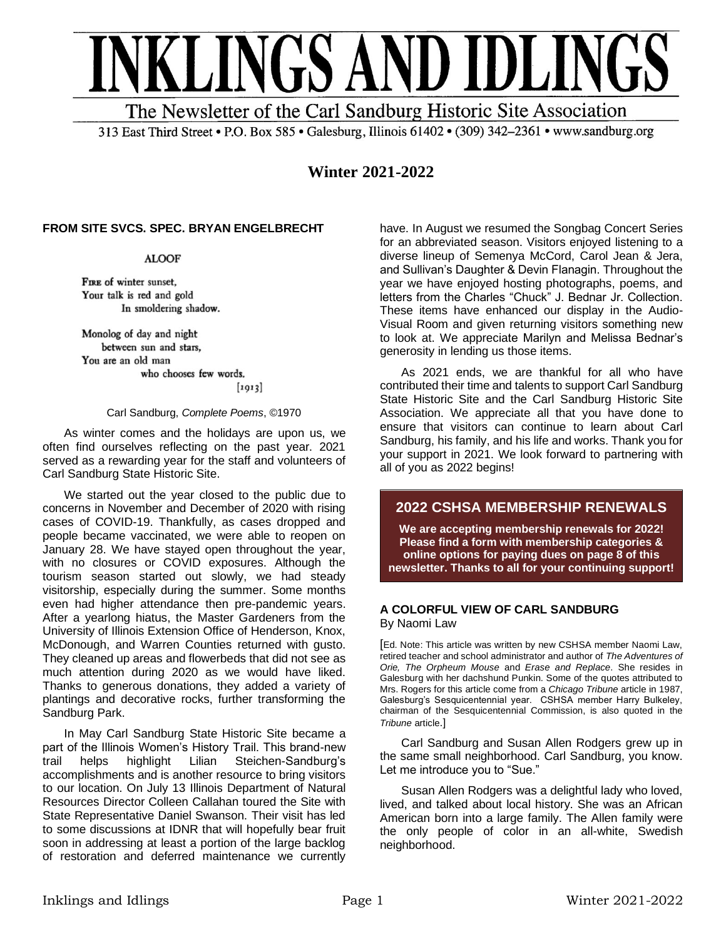

313 East Third Street • P.O. Box 585 • Galesburg, Illinois 61402 • (309) 342-2361 • www.sandburg.org

**Winter 2021-2022**

## **FROM SITE SVCS. SPEC. BRYAN ENGELBRECHT**

**ALOOF** 

FIRE of winter sunset, Your talk is red and gold In smoldering shadow.

Monolog of day and night between sun and stars, You are an old man who chooses few words.

 $[1913]$ 

#### Carl Sandburg, *Complete Poems*, ©1970

As winter comes and the holidays are upon us, we often find ourselves reflecting on the past year. 2021 served as a rewarding year for the staff and volunteers of Carl Sandburg State Historic Site.

We started out the year closed to the public due to concerns in November and December of 2020 with rising cases of COVID-19. Thankfully, as cases dropped and people became vaccinated, we were able to reopen on January 28. We have stayed open throughout the year, with no closures or COVID exposures. Although the tourism season started out slowly, we had steady visitorship, especially during the summer. Some months even had higher attendance then pre-pandemic years. After a yearlong hiatus, the Master Gardeners from the University of Illinois Extension Office of Henderson, Knox, McDonough, and Warren Counties returned with gusto. They cleaned up areas and flowerbeds that did not see as much attention during 2020 as we would have liked. Thanks to generous donations, they added a variety of plantings and decorative rocks, further transforming the Sandburg Park.

In May Carl Sandburg State Historic Site became a part of the Illinois Women's History Trail. This brand-new trail helps highlight Lilian Steichen-Sandburg's accomplishments and is another resource to bring visitors to our location. On July 13 Illinois Department of Natural Resources Director Colleen Callahan toured the Site with State Representative Daniel Swanson. Their visit has led to some discussions at IDNR that will hopefully bear fruit soon in addressing at least a portion of the large backlog of restoration and deferred maintenance we currently have. In August we resumed the Songbag Concert Series for an abbreviated season. Visitors enjoyed listening to a diverse lineup of Semenya McCord, Carol Jean & Jera, and Sullivan's Daughter & Devin Flanagin. Throughout the year we have enjoyed hosting photographs, poems, and letters from the Charles "Chuck" J. Bednar Jr. Collection. These items have enhanced our display in the Audio-Visual Room and given returning visitors something new to look at. We appreciate Marilyn and Melissa Bednar's generosity in lending us those items.

As 2021 ends, we are thankful for all who have contributed their time and talents to support Carl Sandburg State Historic Site and the Carl Sandburg Historic Site Association. We appreciate all that you have done to ensure that visitors can continue to learn about Carl Sandburg, his family, and his life and works. Thank you for your support in 2021. We look forward to partnering with all of you as 2022 begins!

# **2022 CSHSA MEMBERSHIP RENEWALS**

**We are accepting membership renewals for 2022! Please find a form with membership categories & online options for paying dues on page 8 of this newsletter. Thanks to all for your continuing support!**

### **A COLORFUL VIEW OF CARL SANDBURG** By Naomi Law

[Ed. Note: This article was written by new CSHSA member Naomi Law, retired teacher and school administrator and author of *The Adventures of Orie, The Orpheum Mouse* and *Erase and Replace*. She resides in Galesburg with her dachshund Punkin. Some of the quotes attributed to Mrs. Rogers for this article come from a *Chicago Tribune* article in 1987, Galesburg's Sesquicentennial year. CSHSA member Harry Bulkeley, chairman of the Sesquicentennial Commission, is also quoted in the *Tribune* article.]

Carl Sandburg and Susan Allen Rodgers grew up in the same small neighborhood. Carl Sandburg, you know. Let me introduce you to "Sue."

Susan Allen Rodgers was a delightful lady who loved, lived, and talked about local history. She was an African American born into a large family. The Allen family were the only people of color in an all-white, Swedish neighborhood.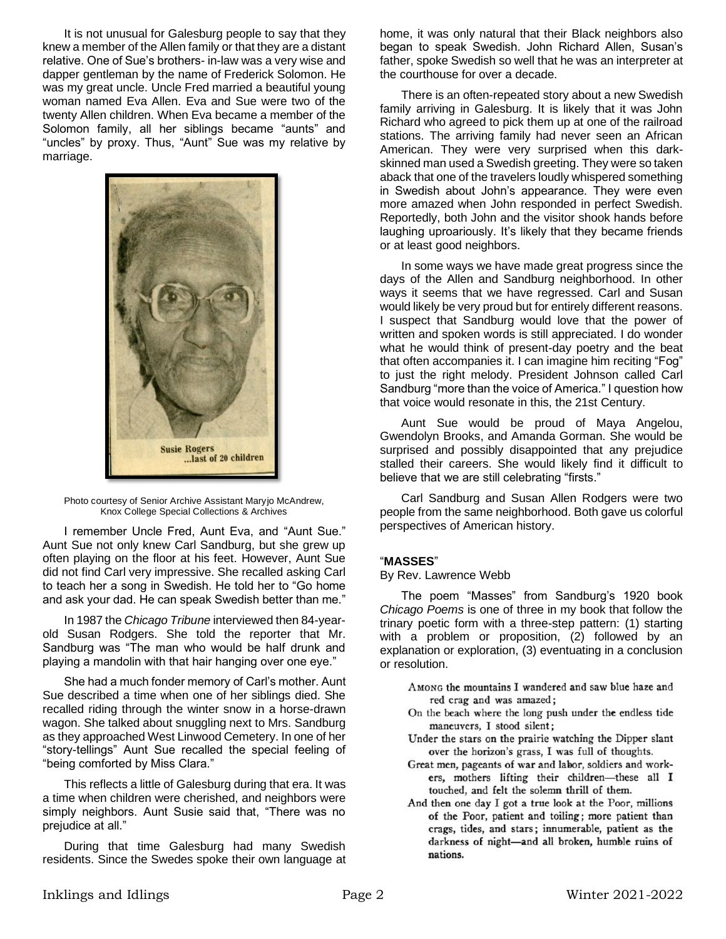It is not unusual for Galesburg people to say that they knew a member of the Allen family or that they are a distant relative. One of Sue's brothers- in-law was a very wise and dapper gentleman by the name of Frederick Solomon. He was my great uncle. Uncle Fred married a beautiful young woman named Eva Allen. Eva and Sue were two of the twenty Allen children. When Eva became a member of the Solomon family, all her siblings became "aunts" and "uncles" by proxy. Thus, "Aunt" Sue was my relative by marriage.



Photo courtesy of Senior Archive Assistant Maryjo McAndrew, Knox College Special Collections & Archives

I remember Uncle Fred, Aunt Eva, and "Aunt Sue." Aunt Sue not only knew Carl Sandburg, but she grew up often playing on the floor at his feet. However, Aunt Sue did not find Carl very impressive. She recalled asking Carl to teach her a song in Swedish. He told her to "Go home and ask your dad. He can speak Swedish better than me."

In 1987 the *Chicago Tribune* interviewed then 84-yearold Susan Rodgers. She told the reporter that Mr. Sandburg was "The man who would be half drunk and playing a mandolin with that hair hanging over one eye."

She had a much fonder memory of Carl's mother. Aunt Sue described a time when one of her siblings died. She recalled riding through the winter snow in a horse-drawn wagon. She talked about snuggling next to Mrs. Sandburg as they approached West Linwood Cemetery. In one of her "story-tellings" Aunt Sue recalled the special feeling of "being comforted by Miss Clara."

This reflects a little of Galesburg during that era. It was a time when children were cherished, and neighbors were simply neighbors. Aunt Susie said that, "There was no prejudice at all."

During that time Galesburg had many Swedish residents. Since the Swedes spoke their own language at home, it was only natural that their Black neighbors also began to speak Swedish. John Richard Allen, Susan's father, spoke Swedish so well that he was an interpreter at the courthouse for over a decade.

There is an often-repeated story about a new Swedish family arriving in Galesburg. It is likely that it was John Richard who agreed to pick them up at one of the railroad stations. The arriving family had never seen an African American. They were very surprised when this darkskinned man used a Swedish greeting. They were so taken aback that one of the travelers loudly whispered something in Swedish about John's appearance. They were even more amazed when John responded in perfect Swedish. Reportedly, both John and the visitor shook hands before laughing uproariously. It's likely that they became friends or at least good neighbors.

In some ways we have made great progress since the days of the Allen and Sandburg neighborhood. In other ways it seems that we have regressed. Carl and Susan would likely be very proud but for entirely different reasons. I suspect that Sandburg would love that the power of written and spoken words is still appreciated. I do wonder what he would think of present-day poetry and the beat that often accompanies it. I can imagine him reciting "Fog" to just the right melody. President Johnson called Carl Sandburg "more than the voice of America." I question how that voice would resonate in this, the 21st Century.

Aunt Sue would be proud of Maya Angelou, Gwendolyn Brooks, and Amanda Gorman. She would be surprised and possibly disappointed that any prejudice stalled their careers. She would likely find it difficult to believe that we are still celebrating "firsts."

Carl Sandburg and Susan Allen Rodgers were two people from the same neighborhood. Both gave us colorful perspectives of American history.

### "**MASSES**"

### By Rev. Lawrence Webb

The poem "Masses" from Sandburg's 1920 book *Chicago Poems* is one of three in my book that follow the trinary poetic form with a three-step pattern: (1) starting with a problem or proposition, (2) followed by an explanation or exploration, (3) eventuating in a conclusion or resolution.

- AMONG the mountains I wandered and saw blue haze and red crag and was amazed;
- On the beach where the long push under the endless tide maneuvers, I stood silent;
- Under the stars on the prairie watching the Dipper slant over the horizon's grass, I was full of thoughts.
- Great men, pageants of war and labor, soldiers and workers, mothers lifting their children-these all I touched, and felt the solemn thrill of them.
- And then one day I got a true look at the Poor, millions of the Poor, patient and toiling; more patient than crags, tides, and stars; innumerable, patient as the darkness of night-and all broken, humble ruins of nations.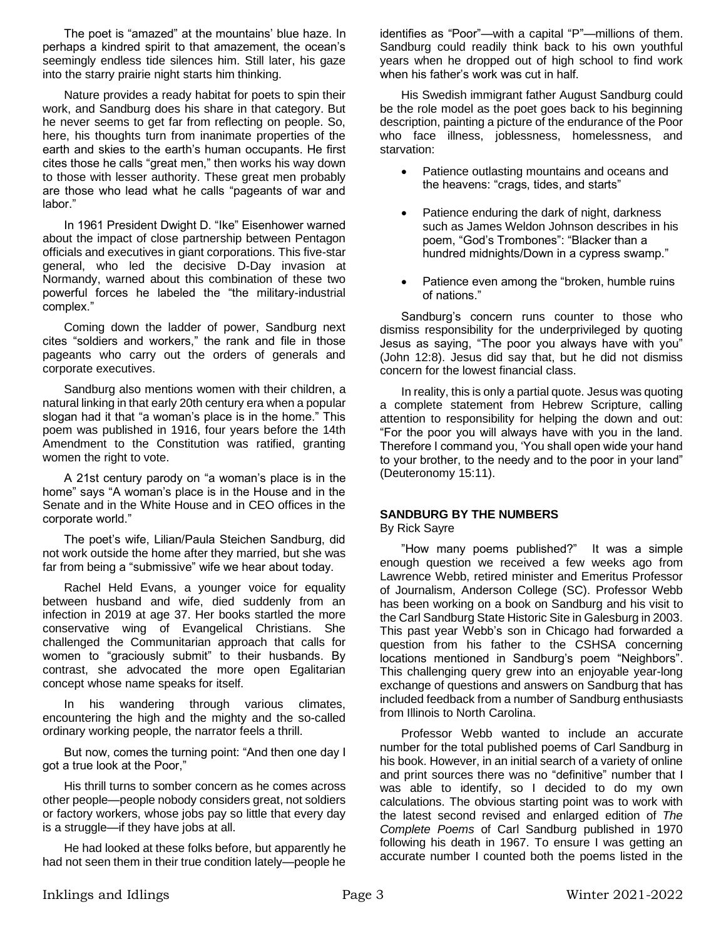The poet is "amazed" at the mountains' blue haze. In perhaps a kindred spirit to that amazement, the ocean's seemingly endless tide silences him. Still later, his gaze into the starry prairie night starts him thinking.

Nature provides a ready habitat for poets to spin their work, and Sandburg does his share in that category. But he never seems to get far from reflecting on people. So, here, his thoughts turn from inanimate properties of the earth and skies to the earth's human occupants. He first cites those he calls "great men," then works his way down to those with lesser authority. These great men probably are those who lead what he calls "pageants of war and labor."

In 1961 President Dwight D. "Ike" Eisenhower warned about the impact of close partnership between Pentagon officials and executives in giant corporations. This five-star general, who led the decisive D-Day invasion at Normandy, warned about this combination of these two powerful forces he labeled the "the military-industrial complex."

Coming down the ladder of power, Sandburg next cites "soldiers and workers," the rank and file in those pageants who carry out the orders of generals and corporate executives.

Sandburg also mentions women with their children, a natural linking in that early 20th century era when a popular slogan had it that "a woman's place is in the home." This poem was published in 1916, four years before the 14th Amendment to the Constitution was ratified, granting women the right to vote.

A 21st century parody on "a woman's place is in the home" says "A woman's place is in the House and in the Senate and in the White House and in CEO offices in the corporate world."

The poet's wife, Lilian/Paula Steichen Sandburg, did not work outside the home after they married, but she was far from being a "submissive" wife we hear about today.

Rachel Held Evans, a younger voice for equality between husband and wife, died suddenly from an infection in 2019 at age 37. Her books startled the more conservative wing of Evangelical Christians. She challenged the Communitarian approach that calls for women to "graciously submit" to their husbands. By contrast, she advocated the more open Egalitarian concept whose name speaks for itself.

In his wandering through various climates, encountering the high and the mighty and the so-called ordinary working people, the narrator feels a thrill.

But now, comes the turning point: "And then one day I got a true look at the Poor,"

His thrill turns to somber concern as he comes across other people—people nobody considers great, not soldiers or factory workers, whose jobs pay so little that every day is a struggle—if they have jobs at all.

He had looked at these folks before, but apparently he had not seen them in their true condition lately—people he

identifies as "Poor"—with a capital "P"—millions of them. Sandburg could readily think back to his own youthful years when he dropped out of high school to find work when his father's work was cut in half.

His Swedish immigrant father August Sandburg could be the role model as the poet goes back to his beginning description, painting a picture of the endurance of the Poor who face illness, joblessness, homelessness, and starvation:

- Patience outlasting mountains and oceans and the heavens: "crags, tides, and starts"
- Patience enduring the dark of night, darkness such as James Weldon Johnson describes in his poem, "God's Trombones": "Blacker than a hundred midnights/Down in a cypress swamp."
- Patience even among the "broken, humble ruins of nations."

Sandburg's concern runs counter to those who dismiss responsibility for the underprivileged by quoting Jesus as saying, "The poor you always have with you" (John 12:8). Jesus did say that, but he did not dismiss concern for the lowest financial class.

In reality, this is only a partial quote. Jesus was quoting a complete statement from Hebrew Scripture, calling attention to responsibility for helping the down and out: "For the poor you will always have with you in the land. Therefore I command you, 'You shall open wide your hand to your brother, to the needy and to the poor in your land" (Deuteronomy 15:11).

# **SANDBURG BY THE NUMBERS**

By Rick Sayre

"How many poems published?" It was a simple enough question we received a few weeks ago from Lawrence Webb, retired minister and Emeritus Professor of Journalism, Anderson College (SC). Professor Webb has been working on a book on Sandburg and his visit to the Carl Sandburg State Historic Site in Galesburg in 2003. This past year Webb's son in Chicago had forwarded a question from his father to the CSHSA concerning locations mentioned in Sandburg's poem "Neighbors". This challenging query grew into an enjoyable year-long exchange of questions and answers on Sandburg that has included feedback from a number of Sandburg enthusiasts from Illinois to North Carolina.

Professor Webb wanted to include an accurate number for the total published poems of Carl Sandburg in his book. However, in an initial search of a variety of online and print sources there was no "definitive" number that I was able to identify, so I decided to do my own calculations. The obvious starting point was to work with the latest second revised and enlarged edition of *The Complete Poems* of Carl Sandburg published in 1970 following his death in 1967. To ensure I was getting an accurate number I counted both the poems listed in the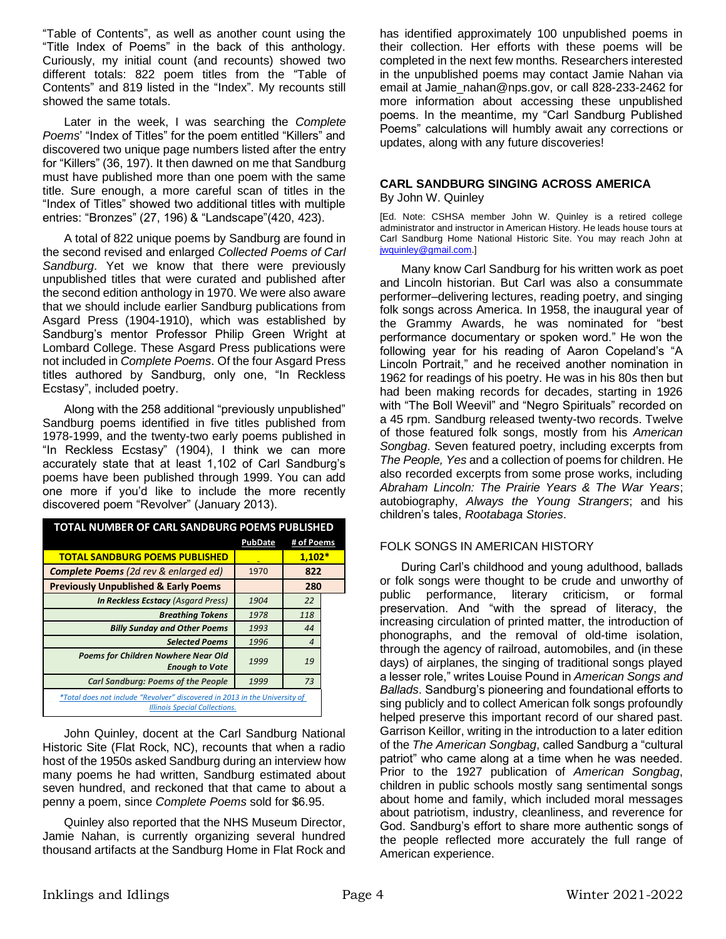"Table of Contents", as well as another count using the "Title Index of Poems" in the back of this anthology. Curiously, my initial count (and recounts) showed two different totals: 822 poem titles from the "Table of Contents" and 819 listed in the "Index". My recounts still showed the same totals.

Later in the week, I was searching the *Complete Poems*' "Index of Titles" for the poem entitled "Killers" and discovered two unique page numbers listed after the entry for "Killers" (36, 197). It then dawned on me that Sandburg must have published more than one poem with the same title. Sure enough, a more careful scan of titles in the "Index of Titles" showed two additional titles with multiple entries: "Bronzes" (27, 196) & "Landscape"(420, 423).

A total of 822 unique poems by Sandburg are found in the second revised and enlarged *Collected Poems of Carl Sandburg*. Yet we know that there were previously unpublished titles that were curated and published after the second edition anthology in 1970. We were also aware that we should include earlier Sandburg publications from Asgard Press (1904-1910), which was established by Sandburg's mentor Professor Philip Green Wright at Lombard College. These Asgard Press publications were not included in *Complete Poems*. Of the four Asgard Press titles authored by Sandburg, only one, "In Reckless Ecstasy", included poetry.

Along with the 258 additional "previously unpublished" Sandburg poems identified in five titles published from 1978-1999, and the twenty-two early poems published in "In Reckless Ecstasy" (1904), I think we can more accurately state that at least 1,102 of Carl Sandburg's poems have been published through 1999. You can add one more if you'd like to include the more recently discovered poem "Revolver" (January 2013).

| <b>TOTAL NUMBER OF CARL SANDBURG POEMS PUBLISHED</b>                                                               |                |                |  |  |
|--------------------------------------------------------------------------------------------------------------------|----------------|----------------|--|--|
|                                                                                                                    | <b>PubDate</b> | # of Poems     |  |  |
| <b>TOTAL SANDBURG POEMS PUBLISHED</b>                                                                              |                | $1,102*$       |  |  |
| <b>Complete Poems</b> (2d rev & enlarged ed)                                                                       | 1970           | 822            |  |  |
| <b>Previously Unpublished &amp; Early Poems</b>                                                                    |                | 280            |  |  |
| <b>In Reckless Ecstacy (Asgard Press)</b>                                                                          | 1904           | 22             |  |  |
| <b>Breathing Tokens</b>                                                                                            | 1978           | 118            |  |  |
| <b>Billy Sunday and Other Poems</b>                                                                                | 1993           | 44             |  |  |
| <b>Selected Poems</b>                                                                                              | 1996           | $\overline{4}$ |  |  |
| <b>Poems for Children Nowhere Near Old</b><br><b>Enough to Vote</b>                                                | 1999           | 19             |  |  |
| <b>Carl Sandburg: Poems of the People</b>                                                                          | 1999           | 73             |  |  |
| *Total does not include "Revolver" discovered in 2013 in the University of<br><b>Illinois Special Collections.</b> |                |                |  |  |

John Quinley, docent at the Carl Sandburg National Historic Site (Flat Rock, NC), recounts that when a radio host of the 1950s asked Sandburg during an interview how many poems he had written, Sandburg estimated about seven hundred, and reckoned that that came to about a penny a poem, since *Complete Poems* sold for \$6.95.

Quinley also reported that the NHS Museum Director, Jamie Nahan, is currently organizing several hundred thousand artifacts at the Sandburg Home in Flat Rock and has identified approximately 100 unpublished poems in their collection. Her efforts with these poems will be completed in the next few months. Researchers interested in the unpublished poems may contact Jamie Nahan via email at Jamie\_nahan@nps.gov, or call 828-233-2462 for more information about accessing these unpublished poems. In the meantime, my "Carl Sandburg Published Poems" calculations will humbly await any corrections or updates, along with any future discoveries!

#### **CARL SANDBURG SINGING ACROSS AMERICA**  By John W. Quinley

[Ed. Note: CSHSA member John W. Quinley is a retired college administrator and instructor in American History. He leads house tours at Carl Sandburg Home National Historic Site. You may reach John at [jwquinley@gmail.com.](mailto:jwquinley@gmail.com)]

Many know Carl Sandburg for his written work as poet and Lincoln historian. But Carl was also a consummate performer–delivering lectures, reading poetry, and singing folk songs across America. In 1958, the inaugural year of the Grammy Awards, he was nominated for "best performance documentary or spoken word." He won the following year for his reading of Aaron Copeland's "A Lincoln Portrait," and he received another nomination in 1962 for readings of his poetry. He was in his 80s then but had been making records for decades, starting in 1926 with "The Boll Weevil" and "Negro Spirituals" recorded on a 45 rpm. Sandburg released twenty-two records. Twelve of those featured folk songs, mostly from his *American Songbag*. Seven featured poetry, including excerpts from *The People, Yes* and a collection of poems for children. He also recorded excerpts from some prose works, including *Abraham Lincoln: The Prairie Years & The War Years*; autobiography, *Always the Young Strangers*; and his children's tales, *Rootabaga Stories*.

## FOLK SONGS IN AMERICAN HISTORY

During Carl's childhood and young adulthood, ballads or folk songs were thought to be crude and unworthy of public performance, literary criticism, or formal preservation. And "with the spread of literacy, the increasing circulation of printed matter, the introduction of phonographs, and the removal of old-time isolation, through the agency of railroad, automobiles, and (in these days) of airplanes, the singing of traditional songs played a lesser role," writes Louise Pound in *American Songs and Ballads*. Sandburg's pioneering and foundational efforts to sing publicly and to collect American folk songs profoundly helped preserve this important record of our shared past. Garrison Keillor, writing in the introduction to a later edition of the *The American Songbag*, called Sandburg a "cultural patriot" who came along at a time when he was needed. Prior to the 1927 publication of *American Songbag*, children in public schools mostly sang sentimental songs about home and family, which included moral messages about patriotism, industry, cleanliness, and reverence for God. Sandburg's effort to share more authentic songs of the people reflected more accurately the full range of American experience.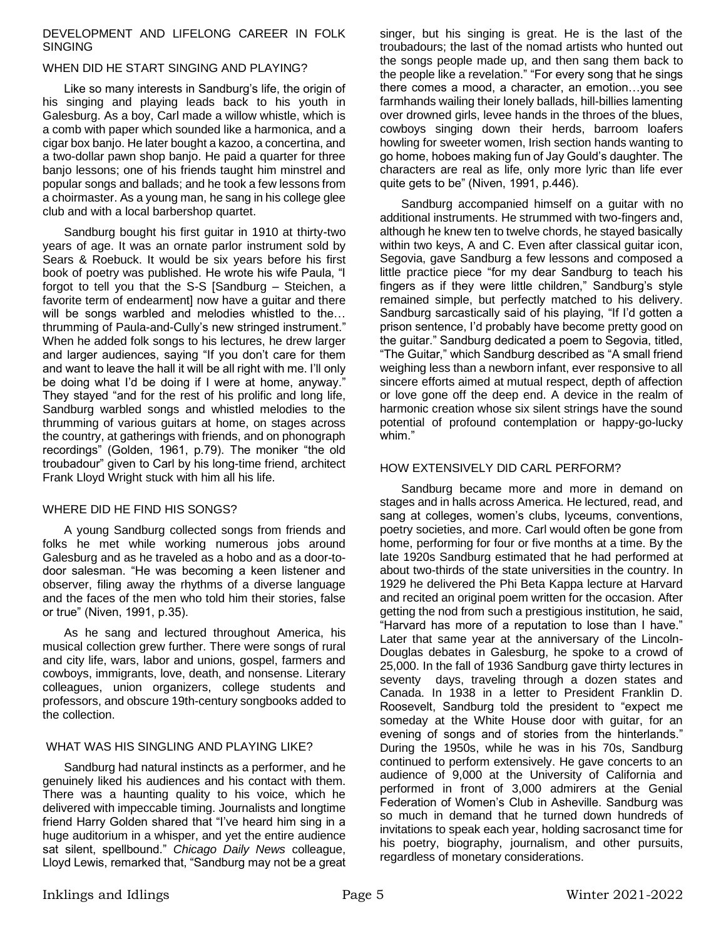### DEVELOPMENT AND LIFELONG CAREER IN FOLK SINGING

# WHEN DID HE START SINGING AND PLAYING?

Like so many interests in Sandburg's life, the origin of his singing and playing leads back to his youth in Galesburg. As a boy, Carl made a willow whistle, which is a comb with paper which sounded like a harmonica, and a cigar box banjo. He later bought a kazoo, a concertina, and a two-dollar pawn shop banjo. He paid a quarter for three banjo lessons; one of his friends taught him minstrel and popular songs and ballads; and he took a few lessons from a choirmaster. As a young man, he sang in his college glee club and with a local barbershop quartet.

Sandburg bought his first guitar in 1910 at thirty-two years of age. It was an ornate parlor instrument sold by Sears & Roebuck. It would be six years before his first book of poetry was published. He wrote his wife Paula, "I forgot to tell you that the S-S [Sandburg – Steichen, a favorite term of endearment] now have a guitar and there will be songs warbled and melodies whistled to the... thrumming of Paula-and-Cully's new stringed instrument." When he added folk songs to his lectures, he drew larger and larger audiences, saying "If you don't care for them and want to leave the hall it will be all right with me. I'll only be doing what I'd be doing if I were at home, anyway." They stayed "and for the rest of his prolific and long life, Sandburg warbled songs and whistled melodies to the thrumming of various guitars at home, on stages across the country, at gatherings with friends, and on phonograph recordings" (Golden, 1961, p.79). The moniker "the old troubadour" given to Carl by his long-time friend, architect Frank Lloyd Wright stuck with him all his life.

## WHERE DID HE FIND HIS SONGS?

A young Sandburg collected songs from friends and folks he met while working numerous jobs around Galesburg and as he traveled as a hobo and as a door-todoor salesman. "He was becoming a keen listener and observer, filing away the rhythms of a diverse language and the faces of the men who told him their stories, false or true" (Niven, 1991, p.35).

As he sang and lectured throughout America, his musical collection grew further. There were songs of rural and city life, wars, labor and unions, gospel, farmers and cowboys, immigrants, love, death, and nonsense. Literary colleagues, union organizers, college students and professors, and obscure 19th-century songbooks added to the collection.

### WHAT WAS HIS SINGLING AND PLAYING LIKE?

Sandburg had natural instincts as a performer, and he genuinely liked his audiences and his contact with them. There was a haunting quality to his voice, which he delivered with impeccable timing. Journalists and longtime friend Harry Golden shared that "I've heard him sing in a huge auditorium in a whisper, and yet the entire audience sat silent, spellbound." *Chicago Daily News* colleague, Lloyd Lewis, remarked that, "Sandburg may not be a great singer, but his singing is great. He is the last of the troubadours; the last of the nomad artists who hunted out the songs people made up, and then sang them back to the people like a revelation." "For every song that he sings there comes a mood, a character, an emotion…you see farmhands wailing their lonely ballads, hill-billies lamenting over drowned girls, levee hands in the throes of the blues, cowboys singing down their herds, barroom loafers howling for sweeter women, Irish section hands wanting to go home, hoboes making fun of Jay Gould's daughter. The characters are real as life, only more lyric than life ever quite gets to be" (Niven, 1991, p.446).

Sandburg accompanied himself on a guitar with no additional instruments. He strummed with two-fingers and, although he knew ten to twelve chords, he stayed basically within two keys, A and C. Even after classical guitar icon, Segovia, gave Sandburg a few lessons and composed a little practice piece "for my dear Sandburg to teach his fingers as if they were little children," Sandburg's style remained simple, but perfectly matched to his delivery. Sandburg sarcastically said of his playing, "If I'd gotten a prison sentence, I'd probably have become pretty good on the guitar." Sandburg dedicated a poem to Segovia, titled, "The Guitar," which Sandburg described as "A small friend weighing less than a newborn infant, ever responsive to all sincere efforts aimed at mutual respect, depth of affection or love gone off the deep end. A device in the realm of harmonic creation whose six silent strings have the sound potential of profound contemplation or happy-go-lucky whim."

## HOW EXTENSIVELY DID CARL PERFORM?

Sandburg became more and more in demand on stages and in halls across America. He lectured, read, and sang at colleges, women's clubs, lyceums, conventions, poetry societies, and more. Carl would often be gone from home, performing for four or five months at a time. By the late 1920s Sandburg estimated that he had performed at about two-thirds of the state universities in the country. In 1929 he delivered the Phi Beta Kappa lecture at Harvard and recited an original poem written for the occasion. After getting the nod from such a prestigious institution, he said, "Harvard has more of a reputation to lose than I have." Later that same year at the anniversary of the Lincoln-Douglas debates in Galesburg, he spoke to a crowd of 25,000. In the fall of 1936 Sandburg gave thirty lectures in seventy days, traveling through a dozen states and Canada. In 1938 in a letter to President Franklin D. Roosevelt, Sandburg told the president to "expect me someday at the White House door with guitar, for an evening of songs and of stories from the hinterlands." During the 1950s, while he was in his 70s, Sandburg continued to perform extensively. He gave concerts to an audience of 9,000 at the University of California and performed in front of 3,000 admirers at the Genial Federation of Women's Club in Asheville. Sandburg was so much in demand that he turned down hundreds of invitations to speak each year, holding sacrosanct time for his poetry, biography, journalism, and other pursuits, regardless of monetary considerations.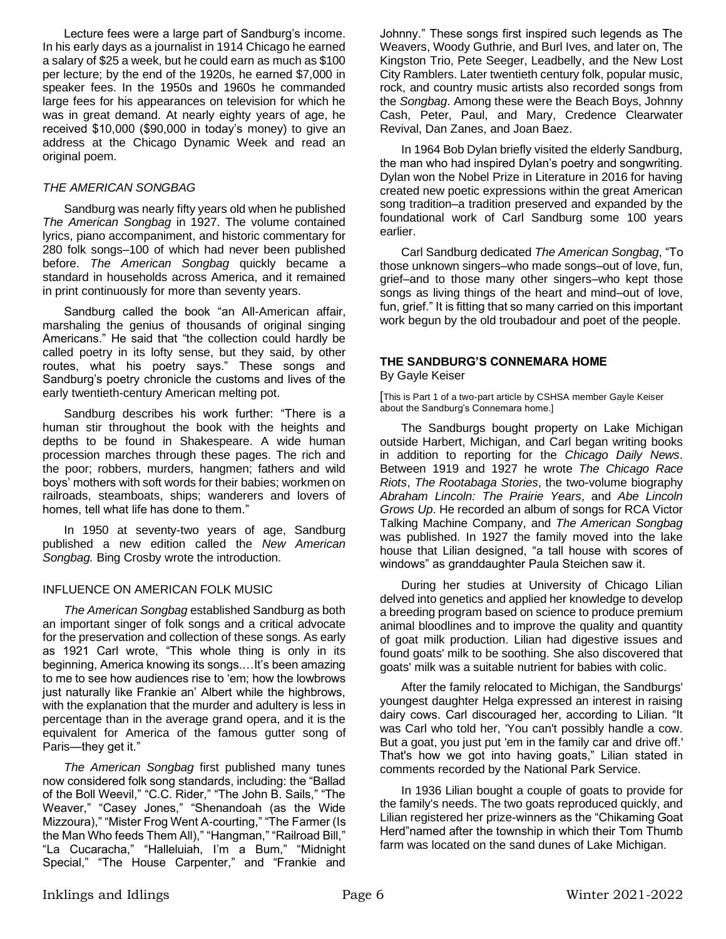Lecture fees were a large part of Sandburg's income. In his early days as a journalist in 1914 Chicago he earned a salary of \$25 a week, but he could earn as much as \$100 per lecture; by the end of the 1920s, he earned \$7,000 in speaker fees. In the 1950s and 1960s he commanded large fees for his appearances on television for which he was in great demand. At nearly eighty years of age, he received \$10,000 (\$90,000 in today's money) to give an address at the Chicago Dynamic Week and read an original poem.

## *THE AMERICAN SONGBAG*

Sandburg was nearly fifty years old when he published *The American Songbag* in 1927. The volume contained lyrics, piano accompaniment, and historic commentary for 280 folk songs–100 of which had never been published before. *The American Songbag* quickly became a standard in households across America, and it remained in print continuously for more than seventy years.

Sandburg called the book "an All-American affair, marshaling the genius of thousands of original singing Americans." He said that "the collection could hardly be called poetry in its lofty sense, but they said, by other routes, what his poetry says." These songs and Sandburg's poetry chronicle the customs and lives of the early twentieth-century American melting pot.

Sandburg describes his work further: "There is a human stir throughout the book with the heights and depths to be found in Shakespeare. A wide human procession marches through these pages. The rich and the poor; robbers, murders, hangmen; fathers and wild boys' mothers with soft words for their babies; workmen on railroads, steamboats, ships; wanderers and lovers of homes, tell what life has done to them."

In 1950 at seventy-two years of age, Sandburg published a new edition called the *New American Songbag.* Bing Crosby wrote the introduction.

### INFLUENCE ON AMERICAN FOLK MUSIC

*The American Songbag* established Sandburg as both an important singer of folk songs and a critical advocate for the preservation and collection of these songs. As early as 1921 Carl wrote, "This whole thing is only in its beginning, America knowing its songs.…It's been amazing to me to see how audiences rise to 'em; how the lowbrows just naturally like Frankie an' Albert while the highbrows, with the explanation that the murder and adultery is less in percentage than in the average grand opera, and it is the equivalent for America of the famous gutter song of Paris—they get it."

*The American Songbag* first published many tunes now considered folk song standards, including: the "Ballad of the Boll Weevil," "C.C. Rider," "The John B. Sails," "The Weaver," "Casey Jones," "Shenandoah (as the Wide Mizzoura)," "Mister Frog Went A-courting," "The Farmer (Is the Man Who feeds Them All)," "Hangman," "Railroad Bill," "La Cucaracha," "Halleluiah, I'm a Bum," "Midnight Special," "The House Carpenter," and "Frankie and

Johnny." These songs first inspired such legends as The Weavers, Woody Guthrie, and Burl Ives, and later on, The Kingston Trio, Pete Seeger, Leadbelly, and the New Lost City Ramblers. Later twentieth century folk, popular music, rock, and country music artists also recorded songs from the *Songbag*. Among these were the Beach Boys, Johnny Cash, Peter, Paul, and Mary, Credence Clearwater Revival, Dan Zanes, and Joan Baez.

In 1964 Bob Dylan briefly visited the elderly Sandburg, the man who had inspired Dylan's poetry and songwriting. Dylan won the Nobel Prize in Literature in 2016 for having created new poetic expressions within the great American song tradition–a tradition preserved and expanded by the foundational work of Carl Sandburg some 100 years earlier.

Carl Sandburg dedicated *The American Songbag*, "To those unknown singers–who made songs–out of love, fun, grief–and to those many other singers–who kept those songs as living things of the heart and mind–out of love, fun, grief." It is fitting that so many carried on this important work begun by the old troubadour and poet of the people.

#### **THE SANDBURG'S CONNEMARA HOME**  By Gayle Keiser

[This is Part 1 of a two-part article by CSHSA member Gayle Keiser about the Sandburg's Connemara home.]

The Sandburgs bought property on Lake Michigan outside Harbert, Michigan, and Carl began writing books in addition to reporting for the *Chicago Daily News*. Between 1919 and 1927 he wrote *The Chicago Race Riots*, *The Rootabaga Stories*, the two-volume biography *Abraham Lincoln: The Prairie Years*, and *Abe Lincoln Grows Up*. He recorded an album of songs for RCA Victor Talking Machine Company, and *The American Songbag* was published. In 1927 the family moved into the lake house that Lilian designed, "a tall house with scores of windows" as granddaughter Paula Steichen saw it.

During her studies at University of Chicago Lilian delved into genetics and applied her knowledge to develop a breeding program based on science to produce premium animal bloodlines and to improve the quality and quantity of goat milk production. Lilian had digestive issues and found goats' milk to be soothing. She also discovered that goats' milk was a suitable nutrient for babies with colic.

After the family relocated to Michigan, the Sandburgs' youngest daughter Helga expressed an interest in raising dairy cows. Carl discouraged her, according to Lilian. "It was Carl who told her, 'You can't possibly handle a cow. But a goat, you just put 'em in the family car and drive off.' That's how we got into having goats," Lilian stated in comments recorded by the National Park Service.

In 1936 Lilian bought a couple of goats to provide for the family's needs. The two goats reproduced quickly, and Lilian registered her prize-winners as the "Chikaming Goat Herd"named after the township in which their Tom Thumb farm was located on the sand dunes of Lake Michigan.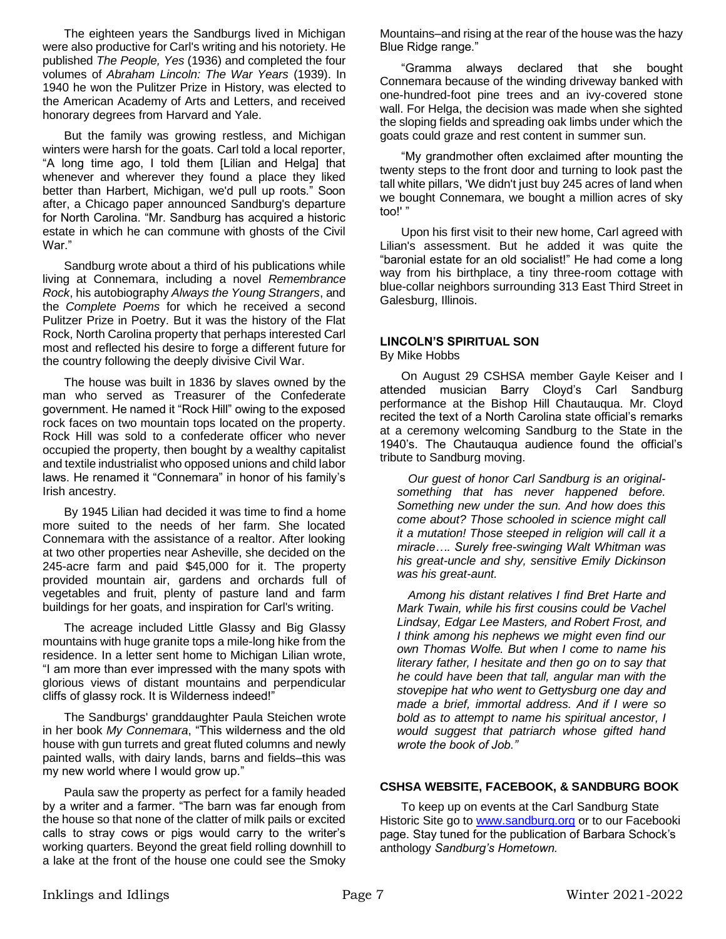The eighteen years the Sandburgs lived in Michigan were also productive for Carl's writing and his notoriety. He published *The People, Yes* (1936) and completed the four volumes of *Abraham Lincoln: The War Years* (1939). In 1940 he won the Pulitzer Prize in History, was elected to the American Academy of Arts and Letters, and received honorary degrees from Harvard and Yale.

But the family was growing restless, and Michigan winters were harsh for the goats. Carl told a local reporter, "A long time ago, I told them [Lilian and Helga] that whenever and wherever they found a place they liked better than Harbert, Michigan, we'd pull up roots." Soon after, a Chicago paper announced Sandburg's departure for North Carolina. "Mr. Sandburg has acquired a historic estate in which he can commune with ghosts of the Civil War."

Sandburg wrote about a third of his publications while living at Connemara, including a novel *Remembrance Rock*, his autobiography *Always the Young Strangers*, and the *Complete Poems* for which he received a second Pulitzer Prize in Poetry. But it was the history of the Flat Rock, North Carolina property that perhaps interested Carl most and reflected his desire to forge a different future for the country following the deeply divisive Civil War.

The house was built in 1836 by slaves owned by the man who served as Treasurer of the Confederate government. He named it "Rock Hill" owing to the exposed rock faces on two mountain tops located on the property. Rock Hill was sold to a confederate officer who never occupied the property, then bought by a wealthy capitalist and textile industrialist who opposed unions and child labor laws. He renamed it "Connemara" in honor of his family's Irish ancestry.

By 1945 Lilian had decided it was time to find a home more suited to the needs of her farm. She located Connemara with the assistance of a realtor. After looking at two other properties near Asheville, she decided on the 245-acre farm and paid \$45,000 for it. The property provided mountain air, gardens and orchards full of vegetables and fruit, plenty of pasture land and farm buildings for her goats, and inspiration for Carl's writing.

The acreage included Little Glassy and Big Glassy mountains with huge granite tops a mile-long hike from the residence. In a letter sent home to Michigan Lilian wrote, "I am more than ever impressed with the many spots with glorious views of distant mountains and perpendicular cliffs of glassy rock. It is Wilderness indeed!"

The Sandburgs' granddaughter Paula Steichen wrote in her book *My Connemara*, "This wilderness and the old house with gun turrets and great fluted columns and newly painted walls, with dairy lands, barns and fields–this was my new world where I would grow up."

Paula saw the property as perfect for a family headed by a writer and a farmer. "The barn was far enough from the house so that none of the clatter of milk pails or excited calls to stray cows or pigs would carry to the writer's working quarters. Beyond the great field rolling downhill to a lake at the front of the house one could see the Smoky

Mountains–and rising at the rear of the house was the hazy Blue Ridge range."

"Gramma always declared that she bought Connemara because of the winding driveway banked with one-hundred-foot pine trees and an ivy-covered stone wall. For Helga, the decision was made when she sighted the sloping fields and spreading oak limbs under which the goats could graze and rest content in summer sun.

"My grandmother often exclaimed after mounting the twenty steps to the front door and turning to look past the tall white pillars, 'We didn't just buy 245 acres of land when we bought Connemara, we bought a million acres of sky too!' "

Upon his first visit to their new home, Carl agreed with Lilian's assessment. But he added it was quite the "baronial estate for an old socialist!" He had come a long way from his birthplace, a tiny three-room cottage with blue-collar neighbors surrounding 313 East Third Street in Galesburg, Illinois.

#### **LINCOLN'S SPIRITUAL SON**  By Mike Hobbs

On August 29 CSHSA member Gayle Keiser and I attended musician Barry Cloyd's Carl Sandburg performance at the Bishop Hill Chautauqua. Mr. Cloyd recited the text of a North Carolina state official's remarks at a ceremony welcoming Sandburg to the State in the 1940's. The Chautauqua audience found the official's tribute to Sandburg moving.

 *Our guest of honor Carl Sandburg is an originalsomething that has never happened before. Something new under the sun. And how does this come about? Those schooled in science might call it a mutation! Those steeped in religion will call it a miracle…. Surely free-swinging Walt Whitman was his great-uncle and shy, sensitive Emily Dickinson was his great-aunt.*

 *Among his distant relatives I find Bret Harte and Mark Twain, while his first cousins could be Vachel Lindsay, Edgar Lee Masters, and Robert Frost, and I think among his nephews we might even find our own Thomas Wolfe. But when I come to name his literary father, I hesitate and then go on to say that he could have been that tall, angular man with the stovepipe hat who went to Gettysburg one day and made a brief, immortal address. And if I were so bold as to attempt to name his spiritual ancestor, I would suggest that patriarch whose gifted hand wrote the book of Job."* 

## **CSHSA WEBSITE, FACEBOOK, & SANDBURG BOOK**

To keep up on events at the Carl Sandburg State Historic Site go t[o www.sandburg.org](http://www.sandburg.org/) or to our Facebooki page. Stay tuned for the publication of Barbara Schock's anthology *Sandburg's Hometown.*